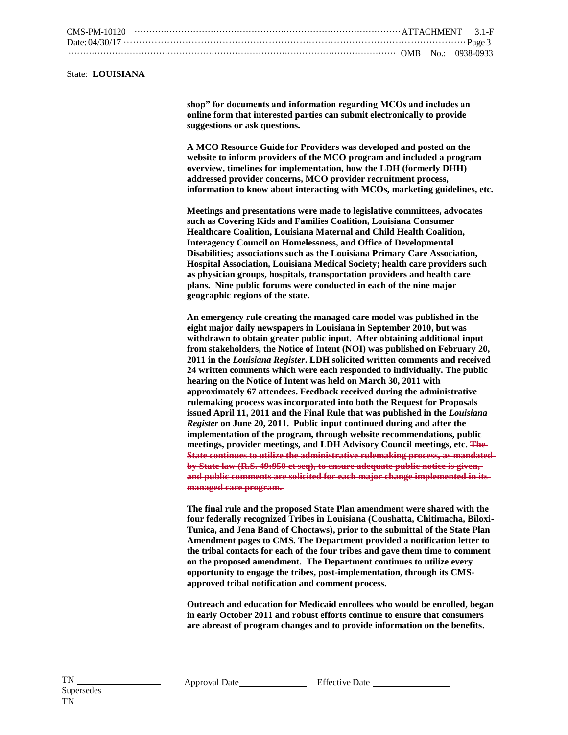## State: **LOUISIANA**

**shop" for documents and information regarding MCOs and includes an online form that interested parties can submit electronically to provide suggestions or ask questions.**

**A MCO Resource Guide for Providers was developed and posted on the website to inform providers of the MCO program and included a program overview, timelines for implementation, how the LDH (formerly DHH) addressed provider concerns, MCO provider recruitment process, information to know about interacting with MCOs, marketing guidelines, etc.**

**Meetings and presentations were made to legislative committees, advocates such as Covering Kids and Families Coalition, Louisiana Consumer Healthcare Coalition, Louisiana Maternal and Child Health Coalition, Interagency Council on Homelessness, and Office of Developmental Disabilities; associations such as the Louisiana Primary Care Association, Hospital Association, Louisiana Medical Society; health care providers such as physician groups, hospitals, transportation providers and health care plans. Nine public forums were conducted in each of the nine major geographic regions of the state.** 

**An emergency rule creating the managed care model was published in the eight major daily newspapers in Louisiana in September 2010, but was withdrawn to obtain greater public input. After obtaining additional input from stakeholders, the Notice of Intent (NOI) was published on February 20, 2011 in the** *Louisiana Register***. LDH solicited written comments and received 24 written comments which were each responded to individually. The public hearing on the Notice of Intent was held on March 30, 2011 with approximately 67 attendees. Feedback received during the administrative rulemaking process was incorporated into both the Request for Proposals issued April 11, 2011 and the Final Rule that was published in the** *Louisiana Register* **on June 20, 2011. Public input continued during and after the implementation of the program, through website recommendations, public meetings, provider meetings, and LDH Advisory Council meetings, etc. The State continues to utilize the administrative rulemaking process, as mandated by State law (R.S. 49:950 et seq), to ensure adequate public notice is given, and public comments are solicited for each major change implemented in its managed care program.** 

**The final rule and the proposed State Plan amendment were shared with the four federally recognized Tribes in Louisiana (Coushatta, Chitimacha, Biloxi-Tunica, and Jena Band of Choctaws), prior to the submittal of the State Plan Amendment pages to CMS. The Department provided a notification letter to the tribal contacts for each of the four tribes and gave them time to comment on the proposed amendment. The Department continues to utilize every opportunity to engage the tribes, post-implementation, through its CMSapproved tribal notification and comment process.**

**Outreach and education for Medicaid enrollees who would be enrolled, began in early October 2011 and robust efforts continue to ensure that consumers are abreast of program changes and to provide information on the benefits.**

Approval Date Effective Date